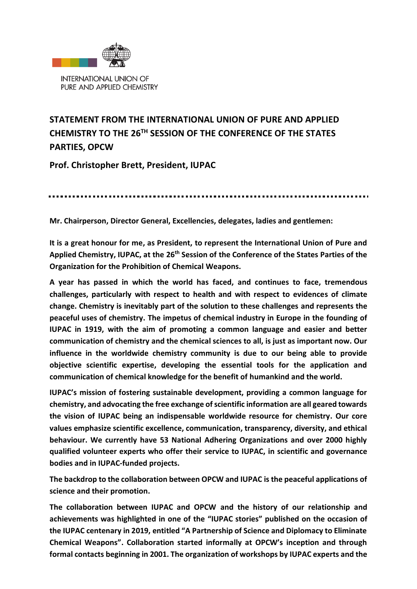

## **STATEMENT FROM THE INTERNATIONAL UNION OF PURE AND APPLIED CHEMISTRY TO THE 26 TH SESSION OF THE CONFERENCE OF THE STATES PARTIES, OPCW**

**Prof. Christopher Brett, President, IUPAC**

**Mr. Chairperson, Director General, Excellencies, delegates, ladies and gentlemen:**

**It is a great honour for me, as President, to represent the International Union of Pure and**  Applied Chemistry, IUPAC, at the 26<sup>th</sup> Session of the Conference of the States Parties of the **Organization for the Prohibition of Chemical Weapons.**

**A year has passed in which the world has faced, and continues to face, tremendous challenges, particularly with respect to health and with respect to evidences of climate change. Chemistry is inevitably part of the solution to these challenges and represents the peaceful uses of chemistry. The impetus of chemical industry in Europe in the founding of IUPAC in 1919, with the aim of promoting a common language and easier and better communication of chemistry and the chemical sciences to all, is just as important now. Our influence in the worldwide chemistry community is due to our being able to provide objective scientific expertise, developing the essential tools for the application and communication of chemical knowledge for the benefit of humankind and the world.** 

**IUPAC's mission of fostering sustainable development, providing a common language for chemistry, and advocating the free exchange of scientific information are all geared towards the vision of IUPAC being an indispensable worldwide resource for chemistry. Our core values emphasize scientific excellence, communication, transparency, diversity, and ethical behaviour. We currently have 53 National Adhering Organizations and over 2000 highly qualified volunteer experts who offer their service to IUPAC, in scientific and governance bodies and in IUPAC-funded projects.** 

**The backdrop to the collaboration between OPCW and IUPAC is the peaceful applications of science and their promotion.**

**The collaboration between IUPAC and OPCW and the history of our relationship and achievements was highlighted in one of the "IUPAC stories" published on the occasion of the IUPAC centenary in 2019, entitled "A Partnership of Science and Diplomacy to Eliminate Chemical Weapons". Collaboration started informally at OPCW's inception and through formal contacts beginning in 2001. The organization of workshops by IUPAC experts and the**